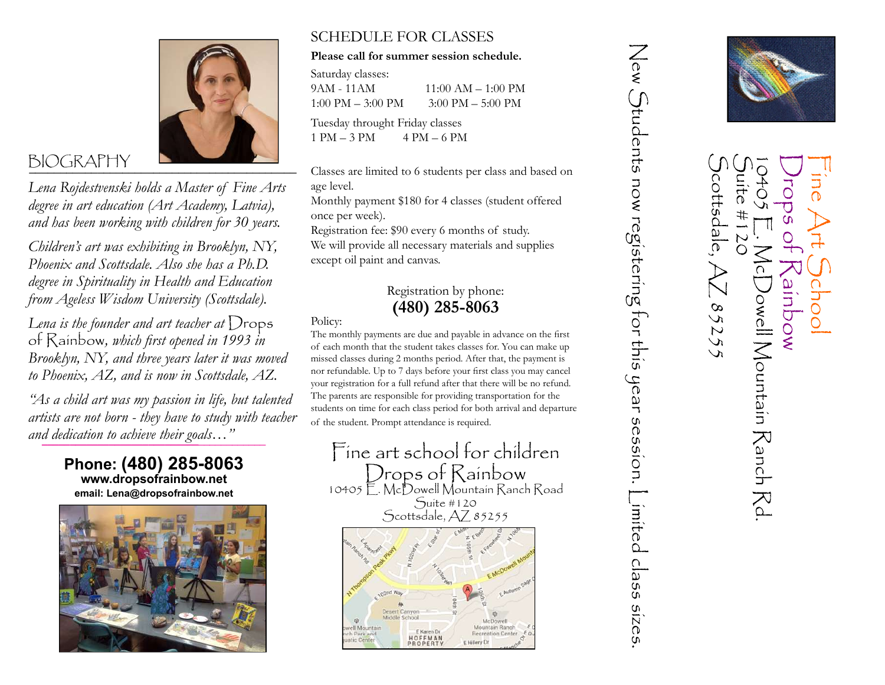

Lena Rojdestvenski holds a Master of Fine Arts degree in art education (Art Academy, Latvia), and has been working with children for 30 years.

Children's art was exhibiting in Brooklyn, NY, Phoenix and Scottsdale. Also she has a Ph.D. degree in Spirituality in Health and Education from Ageless Wisdom University (Scottsdale).

Lena is the founder and art teacher at  $D$ rops of Rainbow, which first opened in 1993 in Brooklyn, NY, and three years later it was moved to Phoenix, AZ, and is now in Scottsdale, AZ.

and dedication to achieve their goals…" "As a child art was my passion in life, but talented artists are not born - they have to study with teacher

> Phone: (480) 285-8063 www.dropsofrainbow.net email: Lena@dropsofrainbow.net



## SCHEDULE FOR CLASSES

### Please call for summer session schedule.

Saturday classes: 9AM - 11AM 11:00 AM – 1:00 PM 1:00 PM – 3:00 PM 3:00 PM – 5:00 PM Tuesday throught Friday classes

 $1 PM - 3 PM$   $4 PM - 6 PM$ 

Classes are limited to 6 students per class and based on age level.

Monthly payment \$180 for 4 classes (student offered once per week).

Registration fee: \$90 every 6 months of study.

We will provide all necessary materials and supplies except oil paint and canvas.

## Registration by phone: (480) 285-8063

Policy:

The monthly payments are due and payable in advance on the first of each month that the student takes classes for. You can make up missed classes during 2 months period. After that, the payment is nor refundable. Up to 7 days before your first class you may cancel your registration for a full refund after that there will be no refund. The parents are responsible for providing transportation for the students on time for each class period for both arrival and departure of the student. Prompt attendance is required.



New Students now registering for this year session. I imited class sizes



 $rac{4}{\sqrt{2}}$ 

 $\mathsf{McDom}$ l Mountaín  $\mathsf{R}$ anch

 $\mathbb{R}^d$ 

wodule

cottsdale

85255

 $#$ 

 $\bigcap$